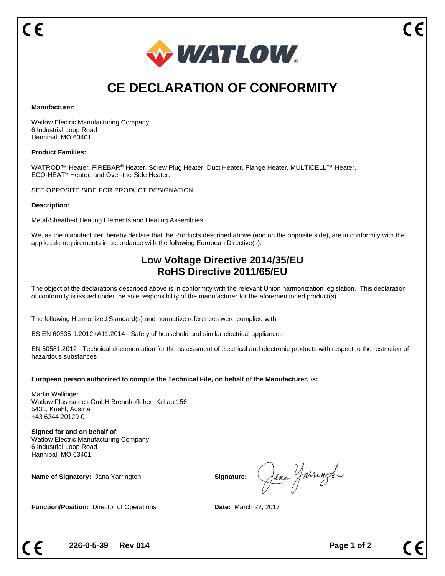

# **CE DECLARATION OF CONFORMITY**

#### **Manufacturer:**

Watlow Electric Manufacturing Company 6 Industrial Loop Road Hannibal, MO 63401

## **Product Families:**

WATROD™ Heater, FIREBAR® Heater, Screw Plug Heater, Duct Heater, Flange Heater, MULTICELL™ Heater, ECO-HEAT® Heater, and Over-the-Side Heater.

SEE OPPOSITE SIDE FOR PRODUCT DESIGNATION

#### **Description:**

Metal-Sheathed Heating Elements and Heating Assemblies

We, as the manufacturer, hereby declare that the Products described above (and on the opposite side), are in conformity with the applicable requirements in accordance with the following European Directive(s):

# **Low Voltage Directive 2014/35/EU RoHS Directive 2011/65/EU**

The object of the declarations described above is in conformity with the relevant Union harmonization legislation. This declaration of conformity is issued under the sole responsibility of the manufacturer for the aforementioned product(s).

The following Harmonized Standard(s) and normative references were complied with -

BS EN 60335-1:2012+A11:2014 - Safety of household and similar electrical appliances

EN 50581:2012 - Technical documentation for the assessment of electrical and electronic products with respect to the restriction of hazardous substances

## **European person authorized to compile the Technical File, on behalf of the Manufacturer, is:**

Martin Wallinger Watlow Plasmatech GmbH Brennhoflehen-Kellau 156 5431, Kuehl, Austria +43 6244 20129-0

**Signed for and on behalf of**: Watlow Electric Manufacturing Company 6 Industrial Loop Road Hannibal, MO 63401

**Name of Signatory:** Jana Yarrington **Signature: Signature: Signature:** 

Jana Yarringto

**Function/Position:** Director of Operations **Date:** March 22, 2017

**226-0-5-39 Rev 014** Page 1 of 2